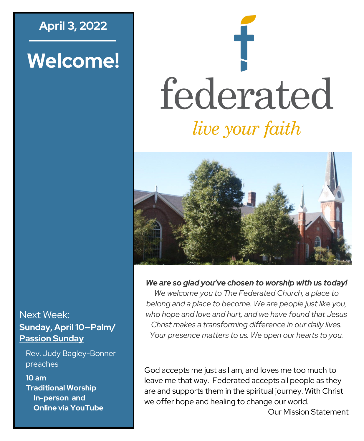## **April 3, 2022**

# **Welcome!**

# federated *live your faith*



#### *We are so glad you've chosen to worship with us today!*

*We welcome you to The Federated Church, a place to belong and a place to become. We are people just like you, who hope and love and hurt, and we have found that Jesus Christ makes a transforming difference in our daily lives. Your presence matters to us. We open our hearts to you.*

God accepts me just as I am, and loves me too much to leave me that way. Federated accepts all people as they are and supports them in the spiritual journey. With Christ we offer hope and healing to change our world. Our Mission Statement

#### Next Week: **Sunday, April 10—Palm/ Passion Sunday**

Rev. Judy Bagley-Bonner preaches

**10 am Traditional Worship In-person and Online via YouTube**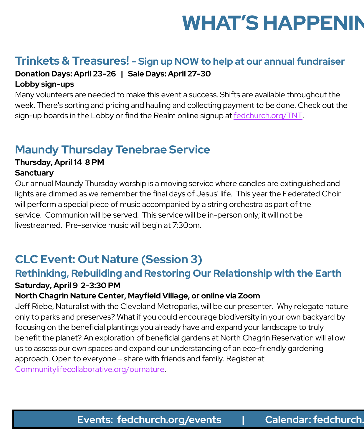# **WHAT'S HAPPENIN**

# **Trinkets & Treasures! - Sign up NOW to help at our annual fundraiser**

#### **Donation Days: April 23-26 | Sale Days: April 27-30**

#### **Lobby sign-ups**

Many volunteers are needed to make this event a success. Shifts are available throughout the week. There's sorting and pricing and hauling and collecting payment to be done. Check out the sign-up boards in the Lobby or find the Realm online signup at [fedchurch.org/TNT.](http://www.fedchurch.org/TNT)

# **Maundy Thursday Tenebrae Service**

# **Thursday, April 14 8 PM**

#### **Sanctuary**

Our annual Maundy Thursday worship is a moving service where candles are extinguished and lights are dimmed as we remember the final days of Jesus' life. This year the Federated Choir will perform a special piece of music accompanied by a string orchestra as part of the service. Communion will be served. This service will be in-person only; it will not be livestreamed. Pre-service music will begin at 7:30pm.

# **CLC Event: Out Nature (Session 3)**

#### **Rethinking, Rebuilding and Restoring Our Relationship with the Earth Saturday, April 9 2-3:30 PM**

#### **North Chagrin Nature Center, Mayfield Village, or online via Zoom**

Jeff Riebe, Naturalist with the Cleveland Metroparks, will be our presenter. Why relegate nature only to parks and preserves? What if you could encourage biodiversity in your own backyard by focusing on the beneficial plantings you already have and expand your landscape to truly benefit the planet? An exploration of beneficial gardens at North Chagrin Reservation will allow us to assess our own spaces and expand our understanding of an eco-friendly gardening approach. Open to everyone – share with friends and family. Register at [Communitylifecollaborative.org/ournature.](http://www.Communitylifecollaborative.org/ournature)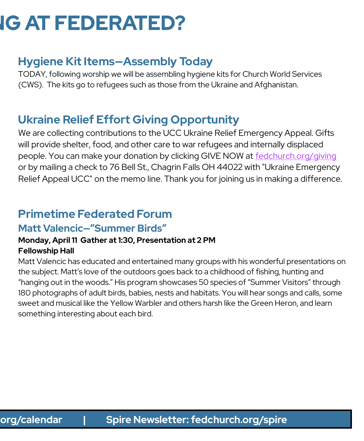# **IG AT FEDERATED?**

# **Hygiene Kit Items—Assembly Today**

TODAY, following worship we will be assembling hygiene kits for Church World Services (CWS). The kits go to refugees such as those from the Ukraine and Afghanistan.

# **Ukraine Relief Effort Giving Opportunity**

We are collecting contributions to the UCC Ukraine Relief Emergency Appeal. Gifts will provide shelter, food, and other care to war refugees and internally displaced people. You can make your donation by clicking GIVE NOW at [fedchurch.org/giving](https://www.fedchurch.org/giving) or by mailing a check to 76 Bell St., Chagrin Falls OH 44022 with "Ukraine Emergency Relief Appeal UCC" on the memo line. Thank you for joining us in making a difference.

## **Primetime Federated Forum**

#### **Matt Valencic—"Summer Birds"**

#### **Monday, April 11 Gather at 1:30, Presentation at 2 PM Fellowship Hall**

Matt Valencic has educated and entertained many groups with his wonderful presentations on the subject. Matt's love of the outdoors goes back to a childhood of fishing, hunting and "hanging out in the woods." His program showcases 50 species of "Summer Visitors" through 180 photographs of adult birds, babies, nests and habitats. You will hear songs and calls, some sweet and musical like the Yellow Warbler and others harsh like the Green Heron, and learn something interesting about each bird.